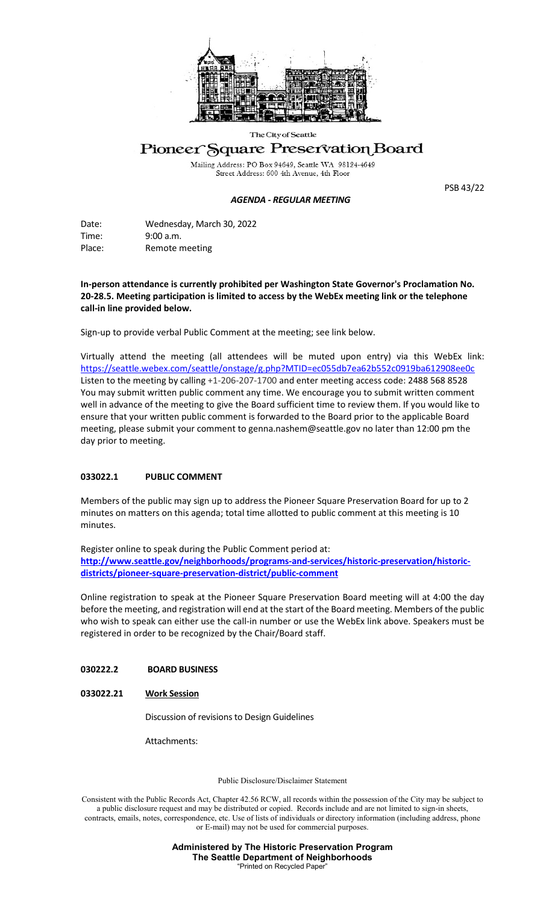

The City of Seattle

# Pioneer Square Preservation Board

Mailing Address: PO Box 94649, Seattle WA 98124-4649<br>Street Address: 600 4th Avenue, 4th Floor

### *AGENDA - REGULAR MEETING*

PSB 43/22

Date: Wednesday, March 30, 2022 Time: 9:00 a.m. Place: Remote meeting

**In-person attendance is currently prohibited per Washington State Governor's Proclamation No. 20-28.5. Meeting participation is limited to access by the WebEx meeting link or the telephone call-in line provided below.** 

Sign-up to provide verbal Public Comment at the meeting; see link below.

Virtually attend the meeting (all attendees will be muted upon entry) via this WebEx link: <https://seattle.webex.com/seattle/onstage/g.php?MTID=ec055db7ea62b552c0919ba612908ee0c> Listen to the meeting by calling +1-206-207-1700 and enter meeting access code: 2488 568 8528 You may submit written public comment any time. We encourage you to submit written comment well in advance of the meeting to give the Board sufficient time to review them. If you would like to ensure that your written public comment is forwarded to the Board prior to the applicable Board meeting, please submit your comment to genna.nashem@seattle.gov no later than 12:00 pm the day prior to meeting.

## **033022.1 PUBLIC COMMENT**

Members of the public may sign up to address the Pioneer Square Preservation Board for up to 2 minutes on matters on this agenda; total time allotted to public comment at this meeting is 10 minutes.

Register online to speak during the Public Comment period at: **[http://www.seattle.gov/neighborhoods/programs-and-services/historic-preservation/historic](http://www.seattle.gov/neighborhoods/programs-and-services/historic-preservation/historic-districts/pioneer-square-preservation-district/public-comment)[districts/pioneer-square-preservation-district/public-comment](http://www.seattle.gov/neighborhoods/programs-and-services/historic-preservation/historic-districts/pioneer-square-preservation-district/public-comment)**

Online registration to speak at the Pioneer Square Preservation Board meeting will at 4:00 the day before the meeting, and registration will end at the start of the Board meeting. Members of the public who wish to speak can either use the call-in number or use the WebEx link above. Speakers must be registered in order to be recognized by the Chair/Board staff.

## **030222.2 BOARD BUSINESS**

## **033022.21 Work Session**

Discussion of revisions to Design Guidelines

Attachments:

Public Disclosure/Disclaimer Statement

Consistent with the Public Records Act, Chapter 42.56 RCW, all records within the possession of the City may be subject to a public disclosure request and may be distributed or copied. Records include and are not limited to sign-in sheets, contracts, emails, notes, correspondence, etc. Use of lists of individuals or directory information (including address, phone or E-mail) may not be used for commercial purposes.

> **Administered by The Historic Preservation Program The Seattle Department of Neighborhoods** "Printed on Recycled Paper"